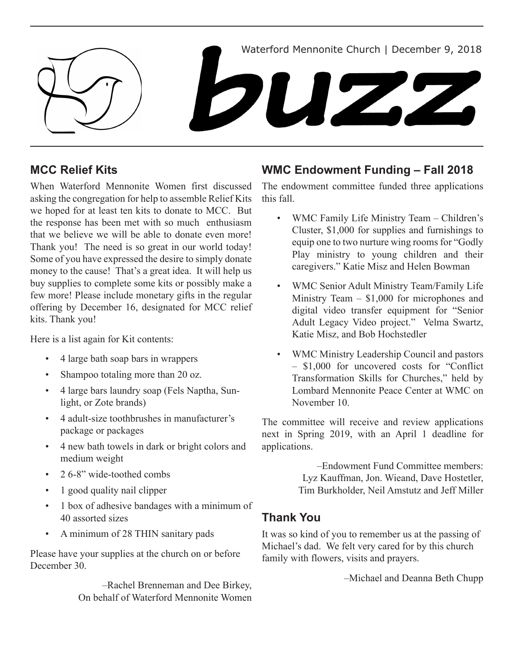

### **MCC Relief Kits**

When Waterford Mennonite Women first discussed asking the congregation for help to assemble Relief Kits we hoped for at least ten kits to donate to MCC. But the response has been met with so much enthusiasm that we believe we will be able to donate even more! Thank you! The need is so great in our world today! Some of you have expressed the desire to simply donate money to the cause! That's a great idea. It will help us buy supplies to complete some kits or possibly make a few more! Please include monetary gifts in the regular offering by December 16, designated for MCC relief kits. Thank you!

Here is a list again for Kit contents:

- 4 large bath soap bars in wrappers
- Shampoo totaling more than 20 oz.
- 4 large bars laundry soap (Fels Naptha, Sunlight, or Zote brands)
- 4 adult-size toothbrushes in manufacturer's package or packages
- 4 new bath towels in dark or bright colors and medium weight
- 2.6-8" wide-toothed combs
- 1 good quality nail clipper
- 1 box of adhesive bandages with a minimum of 40 assorted sizes
- A minimum of 28 THIN sanitary pads

Please have your supplies at the church on or before December 30.

> –Rachel Brenneman and Dee Birkey, On behalf of Waterford Mennonite Women

## **WMC Endowment Funding – Fall 2018**

The endowment committee funded three applications this fall.

- WMC Family Life Ministry Team Children's Cluster, \$1,000 for supplies and furnishings to equip one to two nurture wing rooms for "Godly Play ministry to young children and their caregivers." Katie Misz and Helen Bowman
- WMC Senior Adult Ministry Team/Family Life Ministry Team – \$1,000 for microphones and digital video transfer equipment for "Senior Adult Legacy Video project." Velma Swartz, Katie Misz, and Bob Hochstedler
- • WMC Ministry Leadership Council and pastors – \$1,000 for uncovered costs for "Conflict Transformation Skills for Churches," held by Lombard Mennonite Peace Center at WMC on November 10.

The committee will receive and review applications next in Spring 2019, with an April 1 deadline for applications.

> –Endowment Fund Committee members: Lyz Kauffman, Jon. Wieand, Dave Hostetler, Tim Burkholder, Neil Amstutz and Jeff Miller

# **Thank You**

It was so kind of you to remember us at the passing of Michael's dad. We felt very cared for by this church family with flowers, visits and prayers.

–Michael and Deanna Beth Chupp